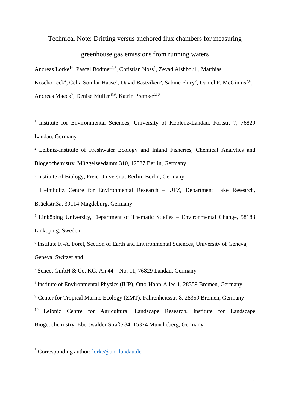### Technical Note: Drifting versus anchored flux chambers for measuring

## greenhouse gas emissions from running waters

Andreas Lorke<sup>1\*</sup>, Pascal Bodmer<sup>2,3</sup>, Christian Noss<sup>1</sup>, Zeyad Alshboul<sup>1</sup>, Matthias Koschorreck<sup>4</sup>, Celia Somlai-Haase<sup>1</sup>, David Bastviken<sup>5</sup>, Sabine Flury<sup>2</sup>, Daniel F. McGinnis<sup>2,6</sup>, Andreas Maeck<sup>7</sup>, Denise Müller <sup>8,9</sup>, Katrin Premke<sup>2,10</sup>

<sup>1</sup> Institute for Environmental Sciences, University of Koblenz-Landau, Fortstr. 7, 76829 Landau, Germany

<sup>2</sup> Leibniz-Institute of Freshwater Ecology and Inland Fisheries, Chemical Analytics and Biogeochemistry, Müggelseedamm 310, 12587 Berlin, Germany

<sup>3</sup> Institute of Biology, Freie Universität Berlin, Berlin, Germany

<sup>4</sup> Helmholtz Centre for Environmental Research – UFZ, Department Lake Research, Brückstr.3a, 39114 Magdeburg, Germany

 $<sup>5</sup>$  Linköping University, Department of Thematic Studies – Environmental Change, 58183</sup> Linköping, Sweden,

<sup>6</sup> Institute F.-A. Forel, Section of Earth and Environmental Sciences, University of Geneva, Geneva, Switzerland

<sup>7</sup> Senect GmbH & Co. KG, An  $44 - No.$  11, 76829 Landau, Germany

<sup>8</sup> Institute of Environmental Physics (IUP), Otto-Hahn-Allee 1, 28359 Bremen, Germany

<sup>9</sup> Center for Tropical Marine Ecology (ZMT), Fahrenheitsstr. 8, 28359 Bremen, Germany

<sup>10</sup> Leibniz Centre for Agricultural Landscape Research, Institute for Landscape Biogeochemistry, Eberswalder Straße 84, 15374 Müncheberg, Germany

\* Corresponding author: [lorke@uni-landau.de](mailto:lorke@uni-landau.de)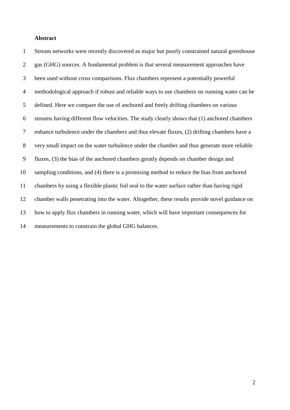#### **Abstract**

 Stream networks were recently discovered as major but poorly constrained natural greenhouse gas (GHG) sources. A fundamental problem is that several measurement approaches have been used without cross comparisons. Flux chambers represent a potentially powerful methodological approach if robust and reliable ways to use chambers on running water can be defined. Here we compare the use of anchored and freely drifting chambers on various streams having different flow velocities. The study clearly shows that (1) anchored chambers enhance turbulence under the chambers and thus elevate fluxes, (2) drifting chambers have a very small impact on the water turbulence under the chamber and thus generate more reliable fluxes, (3) the bias of the anchored chambers greatly depends on chamber design and sampling conditions, and (4) there is a promising method to reduce the bias from anchored chambers by using a flexible plastic foil seal to the water surface rather than having rigid chamber walls penetrating into the water. Altogether, these results provide novel guidance on how to apply flux chambers in running water, which will have important consequences for measurements to constrain the global GHG balances.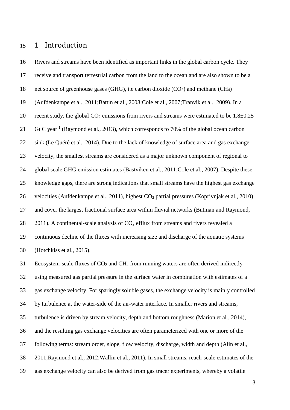## 1 Introduction

 Rivers and streams have been identified as important links in the global carbon cycle. They receive and transport terrestrial carbon from the land to the ocean and are also shown to be a 18 net source of greenhouse gases (GHG), i.e carbon dioxide  $(CO_2)$  and methane  $(CH_4)$  [\(Aufdenkampe et al., 2011](#page-24-0)[;Battin et al., 2008](#page-24-1)[;Cole et al., 2007;](#page-24-2)[Tranvik et al., 2009\)](#page-26-0). In a 20 recent study, the global  $CO_2$  emissions from rivers and streams were estimated to be  $1.8\pm0.25$ 21 Gt C year<sup>-1</sup> [\(Raymond et al., 2013\)](#page-25-0), which corresponds to 70% of the global ocean carbon sink [\(Le Quéré et al., 2014\)](#page-25-1). Due to the lack of knowledge of surface area and gas exchange velocity, the smallest streams are considered as a major unknown component of regional to global scale GHG emission estimates [\(Bastviken et al., 2011;](#page-24-3)[Cole et al., 2007\)](#page-24-2). Despite these knowledge gaps, there are strong indications that small streams have the highest gas exchange velocities [\(Aufdenkampe et al., 2011\)](#page-24-0), highest CO<sup>2</sup> partial pressures [\(Koprivnjak et al., 2010\)](#page-25-2) and cover the largest fractional surface area within fluvial networks [\(Butman and Raymond,](#page-24-4)  [2011\)](#page-24-4). A continental-scale analysis of  $CO<sub>2</sub>$  efflux from streams and rivers revealed a continuous decline of the fluxes with increasing size and discharge of the aquatic systems [\(Hotchkiss et al., 2015\)](#page-25-3).

 Ecosystem-scale fluxes of CO<sup>2</sup> and CH<sup>4</sup> from running waters are often derived indirectly using measured gas partial pressure in the surface water in combination with estimates of a gas exchange velocity. For sparingly soluble gases, the exchange velocity is mainly controlled by turbulence at the water-side of the air-water interface. In smaller rivers and streams, turbulence is driven by stream velocity, depth and bottom roughness [\(Marion et al., 2014\)](#page-25-4), and the resulting gas exchange velocities are often parameterized with one or more of the following terms: stream order, slope, flow velocity, discharge, width and depth [\(Alin et al.,](#page-24-5)  [2011](#page-24-5)[;Raymond et al., 2012](#page-25-5)[;Wallin et al., 2011\)](#page-26-1). In small streams, reach-scale estimates of the gas exchange velocity can also be derived from gas tracer experiments, whereby a volatile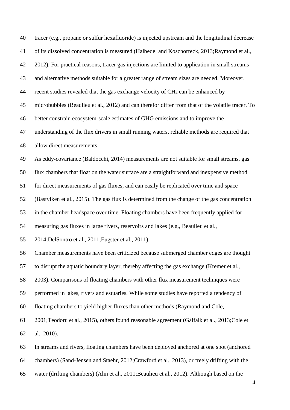| 40 | tracer (e.g., propane or sulfur hexafluoride) is injected upstream and the longitudinal decrease  |
|----|---------------------------------------------------------------------------------------------------|
| 41 | of its dissolved concentration is measured (Halbedel and Koschorreck, 2013; Raymond et al.,       |
| 42 | 2012). For practical reasons, tracer gas injections are limited to application in small streams   |
| 43 | and alternative methods suitable for a greater range of stream sizes are needed. Moreover,        |
| 44 | recent studies revealed that the gas exchange velocity of CH <sub>4</sub> can be enhanced by      |
| 45 | microbubbles (Beaulieu et al., 2012) and can therefor differ from that of the volatile tracer. To |
| 46 | better constrain ecosystem-scale estimates of GHG emissions and to improve the                    |
| 47 | understanding of the flux drivers in small running waters, reliable methods are required that     |
| 48 | allow direct measurements.                                                                        |
| 49 | As eddy-covariance (Baldocchi, 2014) measurements are not suitable for small streams, gas         |
| 50 | flux chambers that float on the water surface are a straightforward and inexpensive method        |
| 51 | for direct measurements of gas fluxes, and can easily be replicated over time and space           |
| 52 | (Bastviken et al., 2015). The gas flux is determined from the change of the gas concentration     |
| 53 | in the chamber headspace over time. Floating chambers have been frequently applied for            |
| 54 | measuring gas fluxes in large rivers, reservoirs and lakes (e.g., Beaulieu et al.,                |
| 55 | 2014; DelSontro et al., 2011; Eugster et al., 2011).                                              |
| 56 | Chamber measurements have been criticized because submerged chamber edges are thought             |
| 57 | to disrupt the aquatic boundary layer, thereby affecting the gas exchange (Kremer et al.,         |
| 58 | 2003). Comparisons of floating chambers with other flux measurement techniques were               |
| 59 | performed in lakes, rivers and estuaries. While some studies have reported a tendency of          |
| 60 | floating chambers to yield higher fluxes than other methods (Raymond and Cole,                    |
| 61 | 2001; Teodoru et al., 2015), others found reasonable agreement (Gålfalk et al., 2013; Cole et     |
| 62 | al., 2010).                                                                                       |
| 63 | In streams and rivers, floating chambers have been deployed anchored at one spot (anchored        |
| 64 | chambers) (Sand-Jensen and Staehr, 2012; Crawford et al., 2013), or freely drifting with the      |
|    |                                                                                                   |

water (drifting chambers) [\(Alin et al., 2011](#page-24-5)[;Beaulieu et al., 2012\)](#page-24-6). Although based on the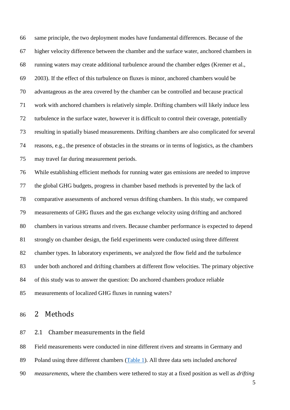same principle, the two deployment modes have fundamental differences. Because of the higher velocity difference between the chamber and the surface water, anchored chambers in running waters may create additional turbulence around the chamber edges [\(Kremer et al.,](#page-25-7)  [2003\)](#page-25-7). If the effect of this turbulence on fluxes is minor, anchored chambers would be advantageous as the area covered by the chamber can be controlled and because practical work with anchored chambers is relatively simple. Drifting chambers will likely induce less turbulence in the surface water, however it is difficult to control their coverage, potentially resulting in spatially biased measurements. Drifting chambers are also complicated for several reasons, e.g., the presence of obstacles in the streams or in terms of logistics, as the chambers may travel far during measurement periods.

 While establishing efficient methods for running water gas emissions are needed to improve the global GHG budgets, progress in chamber based methods is prevented by the lack of comparative assessments of anchored versus drifting chambers. In this study, we compared measurements of GHG fluxes and the gas exchange velocity using drifting and anchored chambers in various streams and rivers. Because chamber performance is expected to depend strongly on chamber design, the field experiments were conducted using three different chamber types. In laboratory experiments, we analyzed the flow field and the turbulence under both anchored and drifting chambers at different flow velocities. The primary objective of this study was to answer the question: Do anchored chambers produce reliable measurements of localized GHG fluxes in running waters?

## 2 Methods

#### 2.1 Chamber measurements in the field

Field measurements were conducted in nine different rivers and streams in Germany and

- Poland using three different chambers [\(Table 1\)](#page-18-0). All three data sets included *anchored*
- *measurements*, where the chambers were tethered to stay at a fixed position as well as *drifting*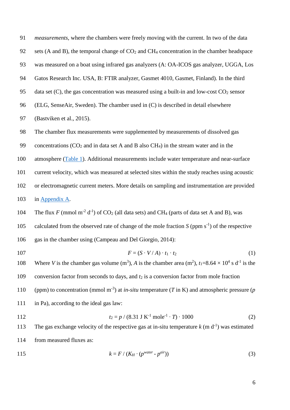91 *measurements*, where the chambers were freely moving with the current. In two of the data

- 92 sets (A and B), the temporal change of  $CO<sub>2</sub>$  and CH<sub>4</sub> concentration in the chamber headspace
- 93 was measured on a boat using infrared gas analyzers (A: OA-ICOS gas analyzer, UGGA, Los
- 94 Gatos Research Inc. USA, B: FTIR analyzer, Gasmet 4010, Gasmet, Finland). In the third
- 95 data set  $(C)$ , the gas concentration was measured using a built-in and low-cost  $CO<sub>2</sub>$  sensor
- 96 (ELG, SenseAir, Sweden). The chamber used in (C) is described in detail elsewhere
- 97 [\(Bastviken et al., 2015\)](#page-24-8).
- 98 The chamber flux measurements were supplemented by measurements of dissolved gas
- 99 concentrations  $(CO_2$  and in data set A and B also  $CH_4$ ) in the stream water and in the
- 100 atmosphere [\(Table 1\)](#page-18-0). Additional measurements include water temperature and near-surface
- 101 current velocity, which was measured at selected sites within the study reaches using acoustic
- 102 or electromagnetic current meters. More details on sampling and instrumentation are provided
- 103 in [Appendix A.](#page-14-0)
- 104 The flux *F* (mmol m<sup>-2</sup> d<sup>-1</sup>) of CO<sub>2</sub> (all data sets) and CH<sub>4</sub> (parts of data set A and B), was
- 105 calculated from the observed rate of change of the mole fraction  $S$  (ppm  $s^{-1}$ ) of the respective
- 106 gas in the chamber using [\(Campeau and Del Giorgio, 2014\)](#page-24-14):
- 

$$
F = (S \cdot V/A) \cdot t_1 \cdot t_2 \tag{1}
$$

108 Where *V* is the chamber gas volume  $(m^3)$ , *A* is the chamber area  $(m^2)$ ,  $t_1=8.64 \times 10^4$  s d<sup>-1</sup> is the 109 conversion factor from seconds to days, and  $t_2$  is a conversion factor from mole fraction 110 (ppm) to concentration (mmol m<sup>-3</sup>) at *in-situ* temperature (*T* in K) and atmospheric pressure (*p* 111 in Pa), according to the ideal gas law:

112  $t_2 = p / (8.31 \text{ J K}^{-1} \text{ mole}^{-1} \cdot T) \cdot 1000$  (2)

113 The gas exchange velocity of the respective gas at in-situ temperature  $k$  (m  $d^{-1}$ ) was estimated 114 from measured fluxes as:

$$
k = F / (K_H \cdot (p^{water} - p^{air})) \tag{3}
$$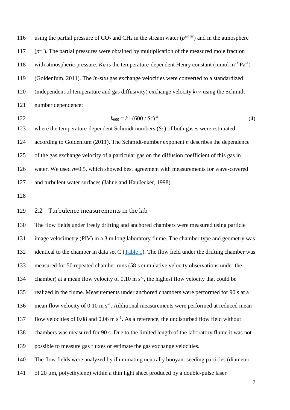116 using the partial pressure of  $CO_2$  and  $CH_4$  in the stream water ( $p^{water}$ ) and in the atmosphere 117  $(p^{air})$ . The partial pressures were obtained by multiplication of the measured mole fraction 118 with atmospheric pressure.  $K_H$  is the temperature-dependent Henry constant (mmol m<sup>-3</sup> Pa<sup>-1</sup>) [\(Goldenfum, 2011\)](#page-25-10). The *in-situ* gas exchange velocities were converted to a standardized 120 (independent of temperature and gas diffusivity) exchange velocity  $k_{600}$  using the Schmidt number dependence:

$$
k_{600} = k \cdot (600 / Sc)^{-n} \tag{4}
$$

 where the temperature-dependent Schmidt numbers (*Sc*) of both gases were estimated according to [Goldenfum \(2011\).](#page-25-10) The Schmidt-number exponent *n* describes the dependence of the gas exchange velocity of a particular gas on the diffusion coefficient of this gas in water. We used *n*=0.5, which showed best agreement with measurements for wave-covered and turbulent water surfaces [\(Jähne and Haußecker, 1998\)](#page-25-11).

### 2.2 Turbulence measurements in the lab

 The flow fields under freely drifting and anchored chambers were measured using particle image velocimetry (PIV) in a 3 m long laboratory flume. The chamber type and geometry was 132 identical to the chamber in data set C  $(Table 1)$ . The flow field under the drifting chamber was measured for 50 repeated chamber runs (58 s cumulative velocity observations under the 134 chamber) at a mean flow velocity of  $0.10 \text{ m s}^{-1}$ , the highest flow velocity that could be realized in the flume. Measurements under anchored chambers were performed for 90 s at a 136 mean flow velocity of  $0.10 \text{ m s}^{-1}$ . Additional measurements were performed at reduced mean 137 flow velocities of 0.08 and 0.06 m  $s^{-1}$ . As a reference, the undisturbed flow field without chambers was measured for 90 s. Due to the limited length of the laboratory flume it was not possible to measure gas fluxes or estimate the gas exchange velocities. The flow fields were analyzed by illuminating neutrally buoyant seeding particles (diameter of 20 µm, polyethylene) within a thin light sheet produced by a double-pulse laser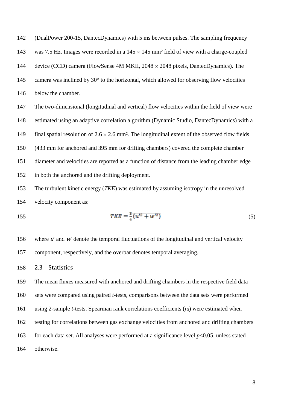(DualPower 200-15, DantecDynamics) with 5 ms between pulses. The sampling frequency 143 was 7.5 Hz. Images were recorded in a  $145 \times 145$  mm<sup>2</sup> field of view with a charge-coupled 144 device (CCD) camera (FlowSense 4M MKII, 2048  $\times$  2048 pixels, DantecDynamics). The 145 camera was inclined by  $30^{\circ}$  to the horizontal, which allowed for observing flow velocities below the chamber.

 The two-dimensional (longitudinal and vertical) flow velocities within the field of view were estimated using an adaptive correlation algorithm (Dynamic Studio, DantecDynamics) with a 149 final spatial resolution of  $2.6 \times 2.6$  mm<sup>2</sup>. The longitudinal extent of the observed flow fields (433 mm for anchored and 395 mm for drifting chambers) covered the complete chamber diameter and velocities are reported as a function of distance from the leading chamber edge in both the anchored and the drifting deployment.

 The turbulent kinetic energy (*TKE*) was estimated by assuming isotropy in the unresolved velocity component as:

$$
TKE = \frac{3}{4} \overline{(u'^2 + w'^2)}\tag{5}
$$

156 where  $u'$  and  $w'$  denote the temporal fluctuations of the longitudinal and vertical velocity component, respectively, and the overbar denotes temporal averaging.

#### 2.3 Statistics

 The mean fluxes measured with anchored and drifting chambers in the respective field data sets were compared using paired *t*-tests, comparisons between the data sets were performed using 2-sample *t*-tests. Spearman rank correlations coefficients (*rS*) were estimated when testing for correlations between gas exchange velocities from anchored and drifting chambers 163 for each data set. All analyses were performed at a significance level  $p<0.05$ , unless stated otherwise.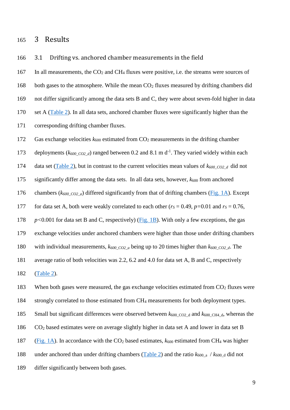### 3 Results

3.1 Drifting vs. anchored chamber measurements in the field

167 In all measurements, the CO<sub>2</sub> and CH<sub>4</sub> fluxes were positive, i.e. the streams were sources of 168 both gases to the atmosphere. While the mean  $CO<sub>2</sub>$  fluxes measured by drifting chambers did not differ significantly among the data sets B and C, they were about seven-fold higher in data set A [\(Table 2\)](#page-19-0). In all data sets, anchored chamber fluxes were significantly higher than the corresponding drifting chamber fluxes. Gas exchange velocities *k*<sup>600</sup> estimated from CO<sup>2</sup> measurements in the drifting chamber 173 deployments ( $k_{600\_CO2\_d}$ ) ranged between 0.2 and 8.1 m d<sup>-1</sup>. They varied widely within each 174 data set [\(Table 2\)](#page-19-0), but in contrast to the current velocities mean values of  $k_{600\text{ CO2}d}$  did not 175 significantly differ among the data sets. In all data sets, however,  $k_{600}$  from anchored chambers (*k600\_CO2\_a*) differed significantly from that of drifting chambers [\(Fig. 1A\)](#page-20-0). Except 177 for data set A, both were weakly correlated to each other ( $r_s = 0.49$ ,  $p=0.01$  and  $r_s = 0.76$ , *p<*0.001 for data set B and C, respectively) [\(Fig. 1B\)](#page-20-0). With only a few exceptions, the gas exchange velocities under anchored chambers were higher than those under drifting chambers with individual measurements, *k600\_CO2\_a* being up to 20 times higher than *k600\_CO2\_d*. The average ratio of both velocities was 2.2, 6.2 and 4.0 for data set A, B and C, respectively [\(Table 2\)](#page-19-0).

183 When both gases were measured, the gas exchange velocities estimated from  $CO<sub>2</sub>$  fluxes were strongly correlated to those estimated from CH<sup>4</sup> measurements for both deployment types. 185 Small but significant differences were observed between  $k_{600\text{ CO2}}$  d and  $k_{600\text{ CH4}}$  d, whereas the CO<sup>2</sup> based estimates were on average slightly higher in data set A and lower in data set B 187 [\(Fig. 1A\)](#page-20-0). In accordance with the  $CO<sub>2</sub>$  based estimates,  $k_{600}$  estimated from CH<sub>4</sub> was higher 188 under anchored than under drifting chambers [\(Table 2\)](#page-19-0) and the ratio  $k_{600\text{ a}}$  /  $k_{600\text{ d}}$  did not differ significantly between both gases.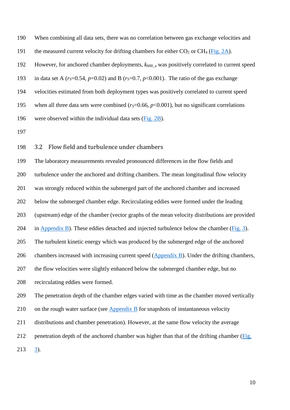When combining all data sets, there was no correlation between gas exchange velocities and 191 the measured current velocity for drifting chambers for either  $CO<sub>2</sub>$  or CH<sub>4</sub> [\(Fig. 2A](#page-21-0)). 192 However, for anchored chamber deployments,  $k_{600}$  a was positively correlated to current speed 193 in data set A  $(r<sub>S</sub>=0.54, p=0.02)$  and B  $(r<sub>S</sub>=0.7, p<0.001)$ . The ratio of the gas exchange velocities estimated from both deployment types was positively correlated to current speed 195 when all three data sets were combined ( $r_s$ =0.66,  $p$ <0.001), but no significant correlations were observed within the individual data sets [\(Fig. 2B](#page-21-0)).

3.2 Flow field and turbulence under chambers

 The laboratory measurements revealed pronounced differences in the flow fields and turbulence under the anchored and drifting chambers. The mean longitudinal flow velocity was strongly reduced within the submerged part of the anchored chamber and increased below the submerged chamber edge. Recirculating eddies were formed under the leading (upstream) edge of the chamber (vector graphs of the mean velocity distributions are provided in [Appendix B\)](#page-17-0). These eddies detached and injected turbulence below the chamber [\(Fig. 3\)](#page-22-0). The turbulent kinetic energy which was produced by the submerged edge of the anchored chambers increased with increasing current speed [\(Appendix B\)](#page-17-0). Under the drifting chambers, the flow velocities were slightly enhanced below the submerged chamber edge, but no recirculating eddies were formed. The penetration depth of the chamber edges varied with time as the chamber moved vertically 210 on the rough water surface (see [Appendix B](#page-17-0) for snapshots of instantaneous velocity distributions and chamber penetration). However, at the same flow velocity the average penetration depth of the anchored chamber was higher than that of the drifting chamber [\(Fig.](#page-22-0)  [3\)](#page-22-0).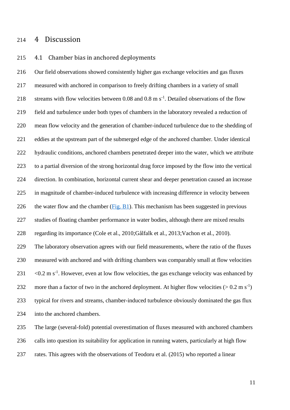### 4 Discussion

#### 4.1 Chamber bias in anchored deployments

 Our field observations showed consistently higher gas exchange velocities and gas fluxes measured with anchored in comparison to freely drifting chambers in a variety of small 218 streams with flow velocities between 0.08 and 0.8 m  $s^{-1}$ . Detailed observations of the flow field and turbulence under both types of chambers in the laboratory revealed a reduction of mean flow velocity and the generation of chamber-induced turbulence due to the shedding of eddies at the upstream part of the submerged edge of the anchored chamber. Under identical hydraulic conditions, anchored chambers penetrated deeper into the water, which we attribute to a partial diversion of the strong horizontal drag force imposed by the flow into the vertical direction. In combination, horizontal current shear and deeper penetration caused an increase in magnitude of chamber-induced turbulence with increasing difference in velocity between 226 the water flow and the chamber  $(Fig. B1)$ . This mechanism has been suggested in previous studies of floating chamber performance in water bodies, although there are mixed results regarding its importance [\(Cole et al., 2010](#page-24-12)[;Gålfalk et al., 2013](#page-25-9)[;Vachon et al., 2010\)](#page-26-4). The laboratory observation agrees with our field measurements, where the ratio of the fluxes measured with anchored and with drifting chambers was comparably small at flow velocities  $\leq 0.2$  m s<sup>-1</sup>. However, even at low flow velocities, the gas exchange velocity was enhanced by 232 more than a factor of two in the anchored deployment. At higher flow velocities  $(> 0.2 \text{ m s}^{-1})$  typical for rivers and streams, chamber-induced turbulence obviously dominated the gas flux into the anchored chambers.

 The large (several-fold) potential overestimation of fluxes measured with anchored chambers calls into question its suitability for application in running waters, particularly at high flow rates. This agrees with the observations of [Teodoru et al. \(2015\)](#page-26-2) who reported a linear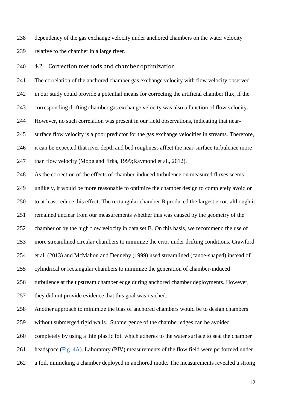dependency of the gas exchange velocity under anchored chambers on the water velocity relative to the chamber in a large river.

4.2 Correction methods and chamber optimization

 The correlation of the anchored chamber gas exchange velocity with flow velocity observed in our study could provide a potential means for correcting the artificial chamber flux, if the corresponding drifting chamber gas exchange velocity was also a function of flow velocity. However, no such correlation was present in our field observations, indicating that near- surface flow velocity is a poor predictor for the gas exchange velocities in streams. Therefore, it can be expected that river depth and bed roughness affect the near-surface turbulence more 247 than flow velocity [\(Moog and Jirka, 1999;](#page-25-12)[Raymond et al., 2012\)](#page-25-5).

 As the correction of the effects of chamber-induced turbulence on measured fluxes seems unlikely, it would be more reasonable to optimize the chamber design to completely avoid or to at least reduce this effect. The rectangular chamber B produced the largest error, although it remained unclear from our measurements whether this was caused by the geometry of the chamber or by the high flow velocity in data set B. On this basis, we recommend the use of more streamlined circular chambers to minimize the error under drifting conditions. [Crawford](#page-24-13) 

et al. (2013) and [McMahon and Dennehy \(1999\)](#page-25-13) used streamlined (canoe-shaped) instead of

cylindrical or rectangular chambers to minimize the generation of chamber-induced

turbulence at the upstream chamber edge during anchored chamber deployments. However,

they did not provide evidence that this goal was reached.

Another approach to minimize the bias of anchored chambers would be to design chambers

without submerged rigid walls. Submergence of the chamber edges can be avoided

completely by using a thin plastic foil which adheres to the water surface to seal the chamber

headspace [\(Fig. 4A\)](#page-23-0). Laboratory (PIV) measurements of the flow field were performed under

a foil, mimicking a chamber deployed in anchored mode. The measurements revealed a strong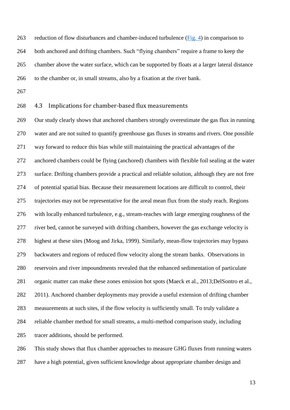reduction of flow disturbances and chamber-induced turbulence [\(Fig. 4\)](#page-23-0) in comparison to both anchored and drifting chambers. Such "flying chambers" require a frame to keep the chamber above the water surface, which can be supported by floats at a larger lateral distance to the chamber or, in small streams, also by a fixation at the river bank.

#### 4.3 Implications for chamber-based flux measurements

 Our study clearly shows that anchored chambers strongly overestimate the gas flux in running water and are not suited to quantify greenhouse gas fluxes in streams and rivers. One possible way forward to reduce this bias while still maintaining the practical advantages of the anchored chambers could be flying (anchored) chambers with flexible foil sealing at the water surface. Drifting chambers provide a practical and reliable solution, although they are not free of potential spatial bias. Because their measurement locations are difficult to control, their trajectories may not be representative for the areal mean flux from the study reach. Regions with locally enhanced turbulence, e.g., stream-reaches with large emerging roughness of the river bed, cannot be surveyed with drifting chambers, however the gas exchange velocity is highest at these sites [\(Moog and Jirka, 1999\)](#page-25-12). Similarly, mean-flow trajectories may bypass backwaters and regions of reduced flow velocity along the stream banks. Observations in reservoirs and river impoundments revealed that the enhanced sedimentation of particulate organic matter can make these zones emission hot spots [\(Maeck et al., 2013](#page-25-14)[;DelSontro et al.,](#page-24-10)  [2011\)](#page-24-10). Anchored chamber deployments may provide a useful extension of drifting chamber measurements at such sites, if the flow velocity is sufficiently small. To truly validate a reliable chamber method for small streams, a multi-method comparison study, including tracer additions, should be performed.

 This study shows that flux chamber approaches to measure GHG fluxes from running waters have a high potential, given sufficient knowledge about appropriate chamber design and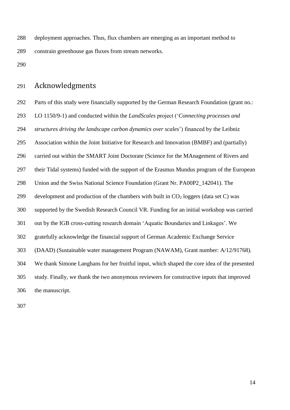deployment approaches. Thus, flux chambers are emerging as an important method to constrain greenhouse gas fluxes from stream networks.

## Acknowledgments

 Parts of this study were financially supported by the German Research Foundation (grant no.: LO 1150/9-1) and conducted within the *LandScales* project ('*Connecting processes and structures driving the landscape carbon dynamics over scales*') financed by the Leibniz Association within the Joint Initiative for Research and Innovation (BMBF) and (partially) carried out within the SMART Joint Doctorate (Science for the MAnagement of Rivers and their Tidal systems) funded with the support of the Erasmus Mundus program of the European Union and the Swiss National Science Foundation (Grant Nr. PA00P2\_142041). The 299 development and production of the chambers with built in  $CO<sub>2</sub>$  loggers (data set C) was supported by the Swedish Research Council VR. Funding for an initial workshop was carried out by the IGB cross-cutting research domain 'Aquatic Boundaries and Linkages'. We gratefully acknowledge the financial support of German Academic Exchange Service (DAAD) (Sustainable water management Program (NAWAM), Grant number: A/12/91768). We thank Simone Langhans for her fruitful input, which shaped the core idea of the presented study. Finally, we thank the two anonymous reviewers for constructive inputs that improved the manuscript.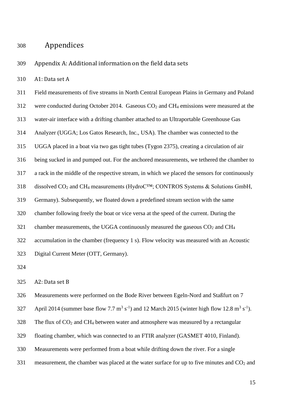## Appendices

<span id="page-14-0"></span>Appendix A: Additional information on the field data sets

A1: Data set A

 Field measurements of five streams in North Central European Plains in Germany and Poland were conducted during October 2014. Gaseous CO<sup>2</sup> and CH<sup>4</sup> emissions were measured at the water-air interface with a drifting chamber attached to an Ultraportable Greenhouse Gas Analyzer (UGGA; Los Gatos Research, Inc., USA). The chamber was connected to the UGGA placed in a boat via two gas tight tubes (Tygon 2375), creating a circulation of air being sucked in and pumped out. For the anchored measurements, we tethered the chamber to a rack in the middle of the respective stream, in which we placed the sensors for continuously dissolved CO<sup>2</sup> and CH<sup>4</sup> measurements (HydroC™; CONTROS Systems & Solutions GmbH, Germany). Subsequently, we floated down a predefined stream section with the same chamber following freely the boat or vice versa at the speed of the current. During the 321 chamber measurements, the UGGA continuously measured the gaseous  $CO<sub>2</sub>$  and  $CH<sub>4</sub>$  accumulation in the chamber (frequency 1 s). Flow velocity was measured with an Acoustic Digital Current Meter (OTT, Germany).

#### A2: Data set B

Measurements were performed on the Bode River between Egeln-Nord and Staßfurt on 7

327 April 2014 (summer base flow 7.7 m<sup>3</sup> s<sup>-1</sup>) and 12 March 2015 (winter high flow 12.8 m<sup>3</sup> s<sup>-1</sup>).

328 The flux of  $CO_2$  and CH<sub>4</sub> between water and atmosphere was measured by a rectangular

- floating chamber, which was connected to an FTIR analyzer (GASMET 4010, Finland).
- Measurements were performed from a boat while drifting down the river. For a single
- 331 measurement, the chamber was placed at the water surface for up to five minutes and  $CO<sub>2</sub>$  and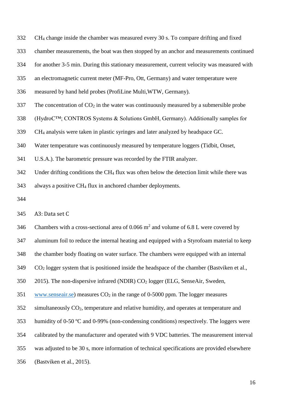CH<sup>4</sup> change inside the chamber was measured every 30 s. To compare drifting and fixed

chamber measurements, the boat was then stopped by an anchor and measurements continued

for another 3-5 min. During this stationary measurement, current velocity was measured with

an electromagnetic current meter (MF-Pro, Ott, Germany) and water temperature were

- measured by hand held probes (ProfiLine Multi,WTW, Germany).
- 337 The concentration of  $CO<sub>2</sub>$  in the water was continuously measured by a submersible probe

(HydroC™; CONTROS Systems & Solutions GmbH, Germany). Additionally samples for

CH<sup>4</sup> analysis were taken in plastic syringes and later analyzed by headspace GC.

Water temperature was continuously measured by temperature loggers (Tidbit, Onset,

U.S.A.). The barometric pressure was recorded by the FTIR analyzer.

342 Under drifting conditions the CH<sub>4</sub> flux was often below the detection limit while there was

always a positive CH<sup>4</sup> flux in anchored chamber deployments.

A3: Data set C

346 Chambers with a cross-sectional area of 0.066  $m^2$  and volume of 6.8 L were covered by

aluminum foil to reduce the internal heating and equipped with a Styrofoam material to keep

the chamber body floating on water surface. The chambers were equipped with an internal

CO<sup>2</sup> logger system that is positioned inside the headspace of the chamber [\(Bastviken et al.,](#page-24-8) 

[2015\)](#page-24-8). The non-dispersive infrared (NDIR) CO<sup>2</sup> logger (ELG, SenseAir, Sweden,

[www.senseair.se\)](http://www.senseair.se/) measures  $CO<sub>2</sub>$  in the range of 0-5000 ppm. The logger measures

simultaneously CO2, temperature and relative humidity, and operates at temperature and

humidity of 0-50 ºC and 0-99% (non-condensing conditions) respectively. The loggers were

calibrated by the manufacturer and operated with 9 VDC batteries. The measurement interval

was adjusted to be 30 s, more information of technical specifications are provided elsewhere

[\(Bastviken et al., 2015\)](#page-24-8).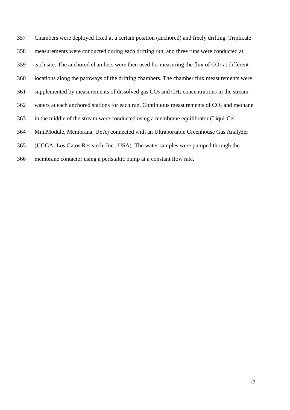Chambers were deployed fixed at a certain position (anchored) and freely drifting. Triplicate measurements were conducted during each drifting run, and three runs were conducted at 359 each site. The anchored chambers were then used for measuring the flux of  $CO<sub>2</sub>$  at different locations along the pathways of the drifting chambers. The chamber flux measurements were supplemented by measurements of dissolved gas CO<sup>2</sup> and CH<sup>4</sup> concentrations in the stream 362 waters at each anchored stations for each run. Continuous measurements of  $CO<sub>2</sub>$  and methane in the middle of the stream were conducted using a membrane equilibrator (Liqui-Cel MiniModule, Membrana, USA) connected with an Ultraportable Greenhouse Gas Analyzer (UGGA; Los Gatos Research, Inc., USA). The water samples were pumped through the membrane contactor using a peristaltic pump at a constant flow rate.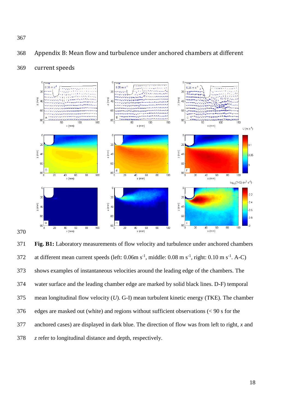

 $\begin{bmatrix} 2 \\ 40 \end{bmatrix}$ 

60

<span id="page-17-0"></span>368 Appendix B: Mean flow and turbulence under anchored chambers at different

### 369 current speeds

 $\left(\begin{matrix} m \\ m \end{matrix}\right)$  40

60

 $\Gamma$ 

 $^{80}$  $^{80}$  $^{80}$  $\frac{1}{100}$  $\overline{\overline{x}}$  $\frac{1}{40}$  $\overline{60}$  $\overline{\overline{\mathrm{sc}}}$  $\frac{1}{100}$  $\overline{20}$  $40$  $\overline{60}$  $\overline{30}$  $\overline{10}0$  $\frac{1}{20}$  $40$ 60  $\overline{80}$ ر<br>x (mm) ັ<br>x (mm) ,<br>x (mm)  $log_{10}(TKE)$  (m<sup>2</sup> s<sup>-2</sup>)  $\mathbf{C}$  $-2.2$  $20$  $\overline{20}$  $20$  $-2.4$  $\left(\begin{matrix} \widehat{E} \\ E \end{matrix}\right)$  40  $\left(\begin{matrix} \widehat{E} \\ E \end{matrix}\right)$  40  $\bigoplus_{N}^{2}$  40  $-2.6$ 60 60 60  $-2.8$  $^{80}$  $^{80}$  $^{80}$  $\frac{1}{80}$  $\frac{40}{x}$  (mm)  $\overline{100}$  $\overline{100}$  $\overline{100}$ 20 60 80  $40\,$ 60 80 40 60 370  $x$  (mm)  $x$  (mm)

 $\left(\begin{matrix} m\\ m\\ n \end{matrix}\right)$ 

60

371 **Fig. B1:** Laboratory measurements of flow velocity and turbulence under anchored chambers 372 at different mean current speeds (left:  $0.06$ m s<sup>-1</sup>, middle:  $0.08$  m s<sup>-1</sup>, right:  $0.10$  m s<sup>-1</sup>. A-C) 373 shows examples of instantaneous velocities around the leading edge of the chambers. The 374 water surface and the leading chamber edge are marked by solid black lines. D-F) temporal 375 mean longitudinal flow velocity (*U*). G-I) mean turbulent kinetic energy (TKE). The chamber 376 edges are masked out (white) and regions without sufficient observations (< 90 s for the 377 anchored cases) are displayed in dark blue. The direction of flow was from left to right, *x* and 378 *z* refer to longitudinal distance and depth, respectively.

 $0.05$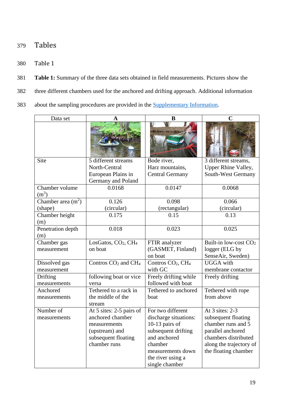# 379 Tables

- <span id="page-18-0"></span>380 Table 1
- 381 **Table 1:** Summary of the three data sets obtained in field measurements. Pictures show the
- 382 three different chambers used for the anchored and drifting approach. Additional information
- 383 about the sampling procedures are provided in the [Supplementary Information.](#page-14-0)

| Data set            | A                                           | B                                         |                         |
|---------------------|---------------------------------------------|-------------------------------------------|-------------------------|
|                     |                                             |                                           |                         |
| Site                | 5 different streams                         | Bode river,                               | 3 different streams,    |
|                     | North-Central                               | Harz mountains,                           | Upper Rhine Valley,     |
|                     | European Plains in                          | <b>Central Germany</b>                    | South-West Germany      |
|                     | Germany and Poland                          |                                           |                         |
| Chamber volume      | 0.0168                                      | 0.0147                                    | 0.0068                  |
| (m <sup>3</sup> )   |                                             |                                           |                         |
| Chamber area $(m2)$ | 0.126                                       | 0.098                                     | 0.066                   |
| (shape)             | (circular)                                  | (rectangular)                             | (circular)              |
| Chamber height      | 0.175                                       | 0.15                                      | 0.13                    |
| (m)                 |                                             |                                           |                         |
| Penetration depth   | 0.018                                       | 0.023                                     | 0.025                   |
| (m)                 |                                             |                                           |                         |
| Chamber gas         | LosGatos, CO <sub>2</sub> , CH <sub>4</sub> | FTIR analyzer                             | Built-in low-cost $CO2$ |
| measurement         | on boat                                     | (GASMET, Finland)                         | logger (ELG by          |
|                     |                                             | on boat                                   | SenseAir, Sweden)       |
| Dissolved gas       | Contros CO <sub>2</sub> and CH <sub>4</sub> | Contros CO <sub>2</sub> , CH <sub>4</sub> | <b>UGGA</b> with        |
| measurement         |                                             | with GC                                   | membrane contactor      |
| Drifting            | following boat or vice                      | Freely drifting while                     | Freely drifting         |
| measurements        | versa                                       | followed with boat                        |                         |
| Anchored            | Tethered to a rack in                       | Tethered to anchored                      | Tethered with rope      |
| measurements        | the middle of the                           | boat                                      | from above              |
|                     | stream                                      |                                           |                         |
| Number of           | At 5 sites: 2-5 pairs of                    | For two different                         | At 3 sites: 2-3         |
| measurements        | anchored chamber                            | discharge situations:                     | subsequent floating     |
|                     | measurements                                | 10-13 pairs of                            | chamber runs and 5      |
|                     | (upstream) and                              | subsequent drifting                       | parallel anchored       |
|                     | subsequent floating                         | and anchored                              | chambers distributed    |
|                     | chamber runs                                | chamber                                   | along the trajectory of |
|                     |                                             | measurements down                         | the floating chamber    |
|                     |                                             | the river using a                         |                         |
|                     |                                             | single chamber                            |                         |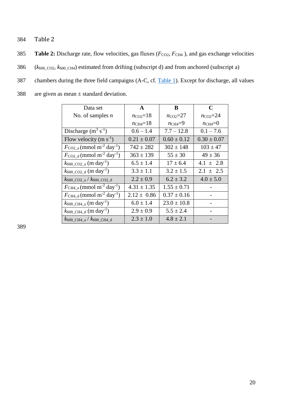- <span id="page-19-0"></span>384 Table 2
- 385 **Table 2:** Discharge rate, flow velocities, gas fluxes ( $F_{CO2}$ ,  $F_{CH4}$ ), and gas exchange velocities
- $386$  ( $k_{600\text{ CO2}}$ ,  $k_{600\text{ CH4}}$ ) estimated from drifting (subscript d) and from anchored (subscript a)
- 387 chambers during the three field campaigns (A-C, cf. [Table 1\)](#page-18-0). Except for discharge, all values
- 388 are given as mean  $\pm$  standard deviation.

| Data set                                                          | $\mathbf{A}$        | B                  | C                  |
|-------------------------------------------------------------------|---------------------|--------------------|--------------------|
| No. of samples $n$                                                | $n_{\rm CO2}=18$    | $n_{\rm CO2} = 27$ | $n_{\rm CO2} = 24$ |
|                                                                   | $n_{\text{CH4}}=18$ | $n_{CH4}=9$        | $n_{\text{CH4}}=0$ |
| Discharge $(m^3 s^{-1})$                                          | $0.6 - 1.4$         | $7.7 - 12.8$       | $0.1 - 7.6$        |
| Flow velocity (m $s^{-1}$ )                                       | $0.21 \pm 0.07$     | $0.60 \pm 0.12$    | $0.30 \pm 0.07$    |
| $F_{\rm CO2_a}$ (mmol m <sup>-2</sup> day <sup>-1</sup> )         | $742 \pm 282$       | $302 \pm 148$      | $103 \pm 47$       |
| $F_{\rm CO2\_d}$ (mmol m <sup>-2</sup> day <sup>-1</sup> )        | $363 \pm 139$       | $55 \pm 30$        | $49 \pm 36$        |
| $k_{600\text{ }CO2\text{ }a}$ (m day <sup>-1</sup> )              | $6.5 \pm 1.4$       | $17 \pm 6.4$       | $4.1 \pm 2.8$      |
| $k_{600\text{ }CO2\text{ }d}$ (m day <sup>-1</sup> )              | $3.3 \pm 1.1$       | $3.2 \pm 1.5$      | $2.1 \pm 2.5$      |
| $k_{600}$ CO <sub>2</sub> a / $k_{600}$ CO <sub>2</sub> d         | $2.2 \pm 0.9$       | $6.2 \pm 3.2$      | $4.0 \pm 5.0$      |
| $F_{\text{CH4}_a}$ (mmol m <sup>-2</sup> day <sup>-1</sup> )      | $4.31 \pm 1.35$     | $1.55 \pm 0.71$    |                    |
| $F_{\text{CH4\_d}}$ (mmol m <sup>-2</sup> day <sup>-1</sup> )     | $2.12 \pm 0.86$     | $0.37 \pm 0.16$    |                    |
| $k_{600\_\text{CH4}\_\text{a}}$ (m day <sup>-1</sup> )            | $6.0 \pm 1.4$       | $23.0 \pm 10.8$    |                    |
| $k_{600\_\text{CH4-d}} (m \text{ day}^{-1})$                      | $2.9 \pm 0.9$       | $5.5 \pm 2.4$      |                    |
| $k_{600\_\text{CH4}\_\text{a}}$ / $k_{600\_\text{CH4}\_\text{d}}$ | $2.3 \pm 1.0$       | $4.8 \pm 2.1$      |                    |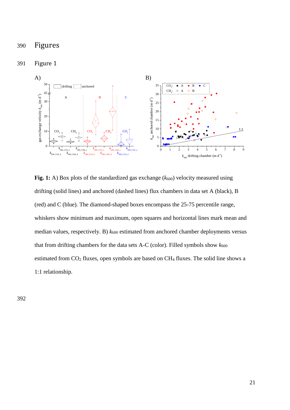## 390 Figures

#### 391 Figure 1

<span id="page-20-0"></span>

**Fig. 1:** A) Box plots of the standardized gas exchange  $(k_{600})$  velocity measured using drifting (solid lines) and anchored (dashed lines) flux chambers in data set A (black), B (red) and C (blue). The diamond-shaped boxes encompass the 25-75 percentile range, whiskers show minimum and maximum, open squares and horizontal lines mark mean and median values, respectively. B)  $k_{600}$  estimated from anchored chamber deployments versus that from drifting chambers for the data sets A-C (color). Filled symbols show  $k_{600}$ estimated from  $CO<sub>2</sub>$  fluxes, open symbols are based on  $CH<sub>4</sub>$  fluxes. The solid line shows a 1:1 relationship.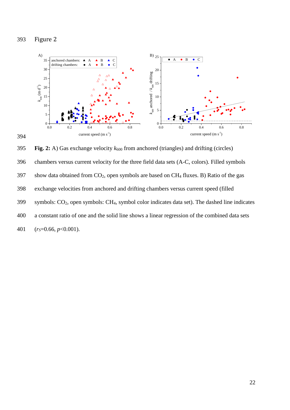<span id="page-21-0"></span>Figure 2



395 **Fig. 2:** A) Gas exchange velocity  $k_{600}$  from anchored (triangles) and drifting (circles) chambers versus current velocity for the three field data sets (A-C, colors). Filled symbols 397 show data obtained from  $CO<sub>2</sub>$ , open symbols are based on CH<sub>4</sub> fluxes. B) Ratio of the gas exchange velocities from anchored and drifting chambers versus current speed (filled symbols: CO2, open symbols: CH4, symbol color indicates data set). The dashed line indicates a constant ratio of one and the solid line shows a linear regression of the combined data sets (*rS*=0.66, *p*<0.001).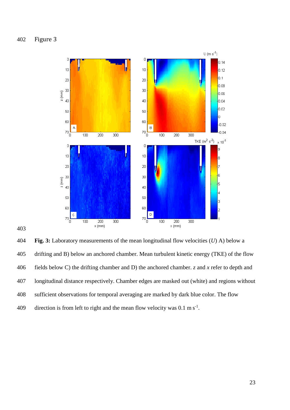<span id="page-22-0"></span>

 **Fig. 3:** Laboratory measurements of the mean longitudinal flow velocities (*U*) A) below a drifting and B) below an anchored chamber. Mean turbulent kinetic energy (TKE) of the flow fields below C) the drifting chamber and D) the anchored chamber. *z* and *x* refer to depth and longitudinal distance respectively. Chamber edges are masked out (white) and regions without sufficient observations for temporal averaging are marked by dark blue color. The flow 409 direction is from left to right and the mean flow velocity was  $0.1 \text{ m s}^{-1}$ .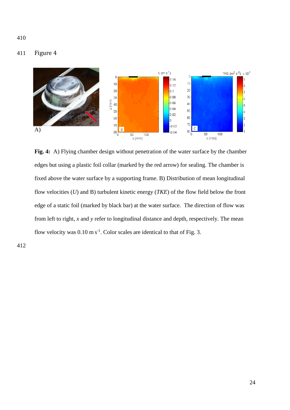### <span id="page-23-0"></span>411 Figure 4



**Fig. 4:** A) Flying chamber design without penetration of the water surface by the chamber edges but using a plastic foil collar (marked by the red arrow) for sealing. The chamber is fixed above the water surface by a supporting frame. B) Distribution of mean longitudinal flow velocities (*U*) and B) turbulent kinetic energy (*TKE*) of the flow field below the front edge of a static foil (marked by black bar) at the water surface. The direction of flow was from left to right, *x* and *y* refer to longitudinal distance and depth, respectively. The mean flow velocity was  $0.10 \text{ m s}^{-1}$ . Color scales are identical to that of Fig. 3.

412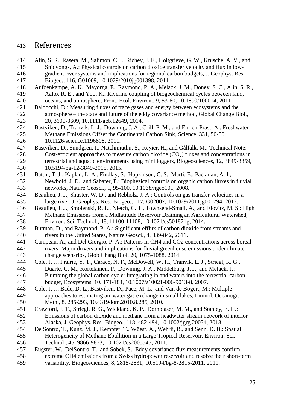## References

- <span id="page-24-5"></span> Alin, S. R., Rasera, M., Salimon, C. I., Richey, J. E., Holtgrieve, G. W., Krusche, A. V., and Snidvongs, A.: Physical controls on carbon dioxide transfer velocity and flux in low- gradient river systems and implications for regional carbon budgets, J. Geophys. Res.- Biogeo., 116, G01009, 10.1029/2010jg001398, 2011.
- <span id="page-24-0"></span> Aufdenkampe, A. K., Mayorga, E., Raymond, P. A., Melack, J. M., Doney, S. C., Alin, S. R., Aalto, R. E., and Yoo, K.: Riverine coupling of biogeochemical cycles between land, oceans, and atmosphere, Front. Ecol. Environ., 9, 53-60, 10.1890/100014, 2011.
- <span id="page-24-7"></span> Baldocchi, D.: Measuring fluxes of trace gases and energy between ecosystems and the atmosphere – the state and future of the eddy covariance method, Global Change Biol., 20, 3600-3609, 10.1111/gcb.12649, 2014.
- <span id="page-24-3"></span> Bastviken, D., Tranvik, L. J., Downing, J. A., Crill, P. M., and Enrich-Prast, A.: Freshwater Methane Emissions Offset the Continental Carbon Sink, Science, 331, 50-50, 10.1126/science.1196808, 2011.
- <span id="page-24-8"></span> Bastviken, D., Sundgren, I., Natchimuthu, S., Reyier, H., and Gålfalk, M.: Technical Note: 428 Cost-efficient approaches to measure carbon dioxide  $(CO<sub>2</sub>)$  fluxes and concentrations in terrestrial and aquatic environments using mini loggers, Biogeosciences, 12, 3849-3859, 10.5194/bg-12-3849-2015, 2015.
- <span id="page-24-1"></span> Battin, T. J., Kaplan, L. A., Findlay, S., Hopkinson, C. S., Marti, E., Packman, A. I., Newbold, J. D., and Sabater, F.: Biophysical controls on organic carbon fluxes in fluvial networks, Nature Geosci., 1, 95-100, 10.1038/ngeo101, 2008.
- <span id="page-24-6"></span> Beaulieu, J. J., Shuster, W. D., and Rebholz, J. A.: Controls on gas transfer velocities in a large river, J. Geophys. Res.-Biogeo., 117, G02007, 10.1029/2011jg001794, 2012.
- <span id="page-24-9"></span> Beaulieu, J. J., Smolenski, R. L., Nietch, C. T., Townsend-Small, A., and Elovitz, M. S.: High Methane Emissions from a Midlatitude Reservoir Draining an Agricultural Watershed, Environ. Sci. Technol., 48, 11100-11108, 10.1021/es501871g, 2014.
- <span id="page-24-4"></span> Butman, D., and Raymond, P. A.: Significant efflux of carbon dioxide from streams and rivers in the United States, Nature Geosci., 4, 839-842, 2011.
- <span id="page-24-14"></span> Campeau, A., and Del Giorgio, P. A.: Patterns in CH4 and CO2 concentrations across boreal rivers: Major drivers and implications for fluvial greenhouse emissions under climate change scenarios, Glob Chang Biol, 20, 1075-1088, 2014.
- <span id="page-24-2"></span> Cole, J. J., Prairie, Y. T., Caraco, N. F., McDowell, W. H., Tranvik, L. J., Striegl, R. G., Duarte, C. M., Kortelainen, P., Downing, J. A., Middelburg, J. J., and Melack, J.: Plumbing the global carbon cycle: Integrating inland waters into the terrestrial carbon budget, Ecosystems, 10, 171-184, 10.1007/s10021-006-9013-8, 2007.
- <span id="page-24-12"></span> Cole, J. J., Bade, D. L., Bastviken, D., Pace, M. L., and Van de Bogert, M.: Multiple approaches to estimating air-water gas exchange in small lakes, Limnol. Oceanogr. Meth., 8, 285-293, 10.4319/lom.2010.8.285, 2010.
- <span id="page-24-13"></span> Crawford, J. T., Striegl, R. G., Wickland, K. P., Dornblaser, M. M., and Stanley, E. H.: Emissions of carbon dioxide and methane from a headwater stream network of interior Alaska, J. Geophys. Res.-Biogeo., 118, 482-494, 10.1002/jgrg.20034, 2013.
- <span id="page-24-10"></span> DelSontro, T., Kunz, M. J., Kempter, T., Wüest, A., Wehrli, B., and Senn, D. B.: Spatial Heterogeneity of Methane Ebullition in a Large Tropical Reservoir, Environ. Sci. Technol., 45, 9866-9873, 10.1021/es2005545, 2011.
- <span id="page-24-11"></span>Eugster, W., DelSontro, T., and Sobek, S.: Eddy covariance flux measurements confirm
- extreme CH4 emissions from a Swiss hydropower reservoir and resolve their short-term variability, Biogeosciences, 8, 2815-2831, 10.5194/bg-8-2815-2011, 2011.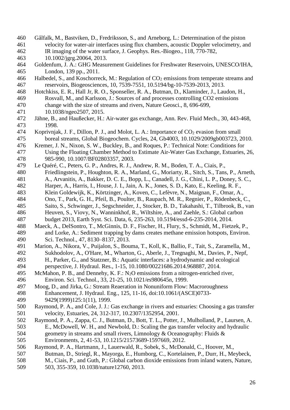- <span id="page-25-9"></span> Gålfalk, M., Bastviken, D., Fredriksson, S., and Arneborg, L.: Determination of the piston velocity for water-air interfaces using flux chambers, acoustic Doppler velocimetry, and IR imaging of the water surface, J. Geophys. Res.-Biogeo., 118, 770-782, 10.1002/jgrg.20064, 2013.
- <span id="page-25-10"></span> Goldenfum, J. A.: GHG Measurement Guidelines for Freshwater Reservoirs, UNESCO/IHA, London, 139 pp., 2011.
- <span id="page-25-6"></span>466 Halbedel, S., and Koschorreck, M.: Regulation of  $CO<sub>2</sub>$  emissions from temperate streams and reservoirs, Biogeosciences, 10, 7539-7551, 10.5194/bg-10-7539-2013, 2013.
- <span id="page-25-3"></span> Hotchkiss, E. R., Hall Jr, R. O., Sponseller, R. A., Butman, D., Klaminder, J., Laudon, H., Rosvall, M., and Karlsson, J.: Sources of and processes controlling CO2 emissions change with the size of streams and rivers, Nature Geosci., 8, 696-699, 10.1038/ngeo2507, 2015.
- <span id="page-25-11"></span> Jähne, B., and Haußecker, H.: Air-water gas exchange, Ann. Rev. Fluid Mech., 30, 443-468, 1998.
- <span id="page-25-2"></span>474 Koprivnjak, J. F., Dillon, P. J., and Molot, L. A.: Importance of CO<sub>2</sub> evasion from small boreal streams, Global Biogeochem. Cycles, 24, Gb4003, 10.1029/2009gb003723, 2010.
- <span id="page-25-7"></span> Kremer, J. N., Nixon, S. W., Buckley, B., and Roques, P.: Technical Note: Conditions for Using the Floating Chamber Method to Estimate Air-Water Gas Exchange, Estuaries, 26, 985-990, 10.1007/BF02803357, 2003.
- <span id="page-25-1"></span> Le Quéré, C., Peters, G. P., Andres, R. J., Andrew, R. M., Boden, T. A., Ciais, P., Friedlingstein, P., Houghton, R. A., Marland, G., Moriarty, R., Sitch, S., Tans, P., Arneth,
- A., Arvanitis, A., Bakker, D. C. E., Bopp, L., Canadell, J. G., Chini, L. P., Doney, S. C.,
- Harper, A., Harris, I., House, J. I., Jain, A. K., Jones, S. D., Kato, E., Keeling, R. F.,
- Klein Goldewijk, K., Körtzinger, A., Koven, C., Lefèvre, N., Maignan, F., Omar, A.,
- Ono, T., Park, G. H., Pfeil, B., Poulter, B., Raupach, M. R., Regnier, P., Rödenbeck, C.,
- Saito, S., Schwinger, J., Segschneider, J., Stocker, B. D., Takahashi, T., Tilbrook, B., van Heuven, S., Viovy, N., Wanninkhof, R., Wiltshire, A., and Zaehle, S.: Global carbon
- budget 2013, Earth Syst. Sci. Data, 6, 235-263, 10.5194/essd-6-235-2014, 2014.
- <span id="page-25-14"></span> Maeck, A., DelSontro, T., McGinnis, D. F., Fischer, H., Flury, S., Schmidt, M., Fietzek, P., and Lorke, A.: Sediment trapping by dams creates methane emission hotspots, Environ. Sci. Technol., 47, 8130–8137, 2013.
- <span id="page-25-4"></span> Marion, A., Nikora, V., Puijalon, S., Bouma, T., Koll, K., Ballio, F., Tait, S., Zaramella, M., Sukhodolov, A., O'Hare, M., Wharton, G., Aberle, J., Tregnaghi, M., Davies, P., Nepf, H., Parker, G., and Statzner, B.: Aquatic interfaces: a hydrodynamic and ecological perspective, J. Hydraul. Res., 1-15, 10.1080/00221686.2014.968887, 2014.
- <span id="page-25-13"></span> McMahon, P. B., and Dennehy, K. F.: N2O emissions from a nitrogen-enriched river, Environ. Sci. Technol., 33, 21-25, 10.1021/es980645n, 1999.
- <span id="page-25-12"></span> Moog, D., and Jirka, G.: Stream Reaeration in Nonuniform Flow: Macroroughness Enhancement, J. Hydraul. Eng., 125, 11-16, doi:10.1061/(ASCE)0733- 9429(1999)125:1(11), 1999.
- <span id="page-25-8"></span> Raymond, P. A., and Cole, J. J.: Gas exchange in rivers and estuaries: Choosing a gas transfer velocity, Estuaries, 24, 312-317, 10.2307/1352954, 2001.
- <span id="page-25-5"></span> Raymond, P. A., Zappa, C. J., Butman, D., Bott, T. L., Potter, J., Mulholland, P., Laursen, A. E., McDowell, W. H., and Newbold, D.: Scaling the gas transfer velocity and hydraulic geometry in streams and small rivers, Limnology & Oceanography: Fluids & Environments, 2, 41-53, 10.1215/21573689-1597669, 2012.
- <span id="page-25-0"></span> Raymond, P. A., Hartmann, J., Lauerwald, R., Sobek, S., McDonald, C., Hoover, M., Butman, D., Striegl, R., Mayorga, E., Humborg, C., Kortelainen, P., Durr, H., Meybeck, M., Ciais, P., and Guth, P.: Global carbon dioxide emissions from inland waters, Nature, 503, 355-359, 10.1038/nature12760, 2013.